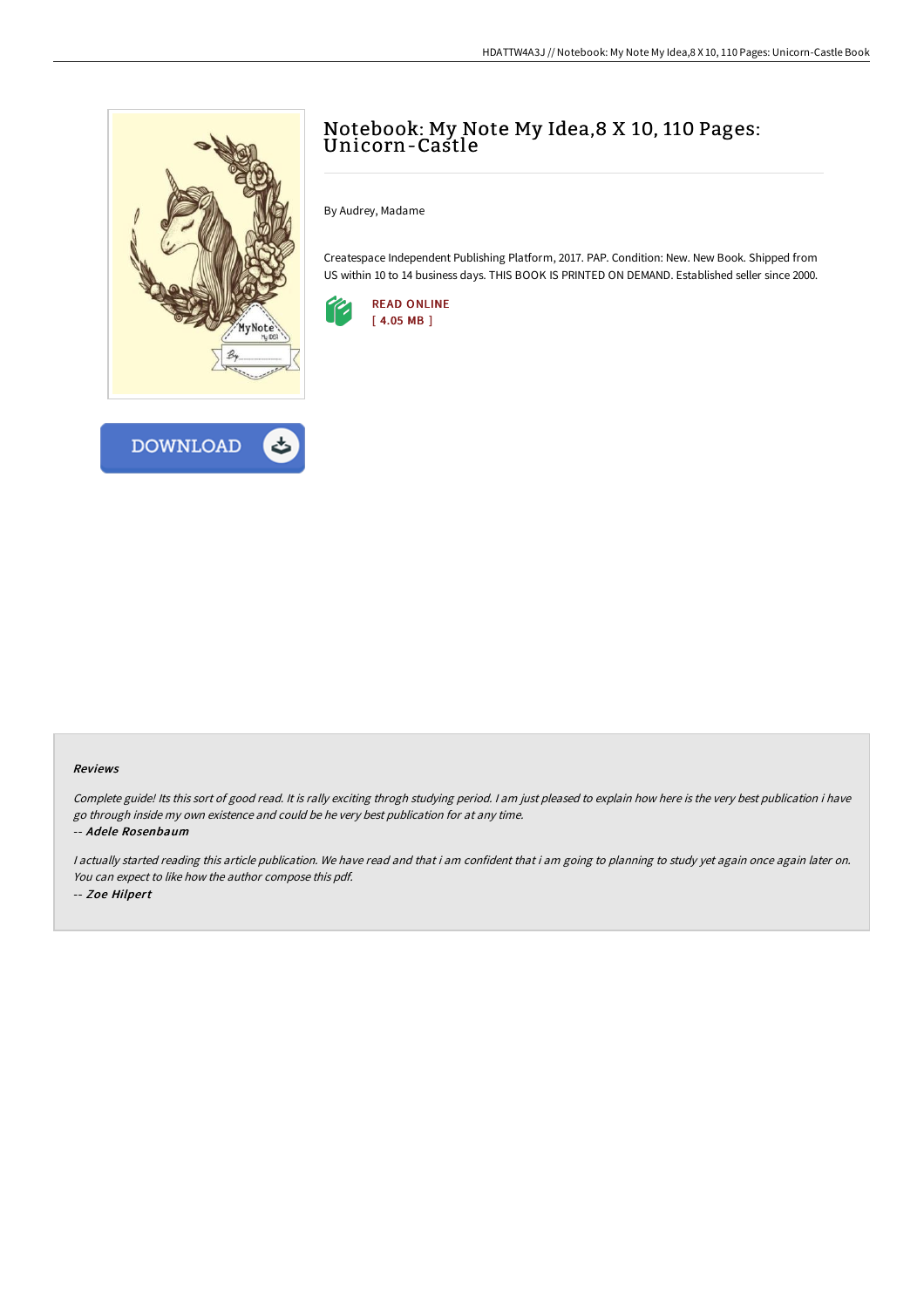



## Notebook: My Note My Idea,8 X 10, 110 Pages: Unicorn-Castle

By Audrey, Madame

Createspace Independent Publishing Platform, 2017. PAP. Condition: New. New Book. Shipped from US within 10 to 14 business days. THIS BOOK IS PRINTED ON DEMAND. Established seller since 2000.



## Reviews

Complete guide! Its this sort of good read. It is rally exciting throgh studying period. <sup>I</sup> am just pleased to explain how here is the very best publication i have go through inside my own existence and could be he very best publication for at any time. -- Adele Rosenbaum

I actually started reading this article publication. We have read and that i am confident that i am going to planning to study yet again once again later on. You can expect to like how the author compose this pdf. -- Zoe Hilpert